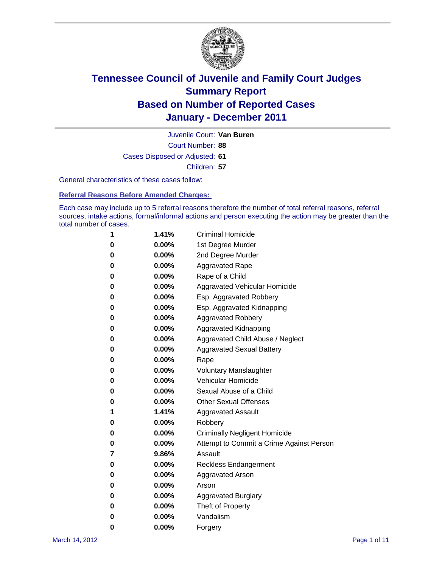

Court Number: **88** Juvenile Court: **Van Buren** Cases Disposed or Adjusted: **61** Children: **57**

General characteristics of these cases follow:

**Referral Reasons Before Amended Charges:** 

Each case may include up to 5 referral reasons therefore the number of total referral reasons, referral sources, intake actions, formal/informal actions and person executing the action may be greater than the total number of cases.

| 1 | 1.41%    | <b>Criminal Homicide</b>                 |
|---|----------|------------------------------------------|
| 0 | $0.00\%$ | 1st Degree Murder                        |
| 0 | $0.00\%$ | 2nd Degree Murder                        |
| 0 | $0.00\%$ | <b>Aggravated Rape</b>                   |
| 0 | $0.00\%$ | Rape of a Child                          |
| 0 | $0.00\%$ | Aggravated Vehicular Homicide            |
| 0 | $0.00\%$ | Esp. Aggravated Robbery                  |
| 0 | $0.00\%$ | Esp. Aggravated Kidnapping               |
| 0 | $0.00\%$ | <b>Aggravated Robbery</b>                |
| 0 | $0.00\%$ | Aggravated Kidnapping                    |
| 0 | $0.00\%$ | Aggravated Child Abuse / Neglect         |
| 0 | $0.00\%$ | <b>Aggravated Sexual Battery</b>         |
| 0 | 0.00%    | Rape                                     |
| 0 | $0.00\%$ | <b>Voluntary Manslaughter</b>            |
| 0 | $0.00\%$ | Vehicular Homicide                       |
| 0 | $0.00\%$ | Sexual Abuse of a Child                  |
| 0 | $0.00\%$ | <b>Other Sexual Offenses</b>             |
| 1 | 1.41%    | <b>Aggravated Assault</b>                |
| 0 | $0.00\%$ | Robbery                                  |
| 0 | $0.00\%$ | <b>Criminally Negligent Homicide</b>     |
| 0 | $0.00\%$ | Attempt to Commit a Crime Against Person |
| 7 | 9.86%    | Assault                                  |
| 0 | $0.00\%$ | <b>Reckless Endangerment</b>             |
| 0 | 0.00%    | <b>Aggravated Arson</b>                  |
| 0 | $0.00\%$ | Arson                                    |
| 0 | $0.00\%$ | <b>Aggravated Burglary</b>               |
| 0 | $0.00\%$ | Theft of Property                        |
| 0 | $0.00\%$ | Vandalism                                |
| 0 | 0.00%    | Forgery                                  |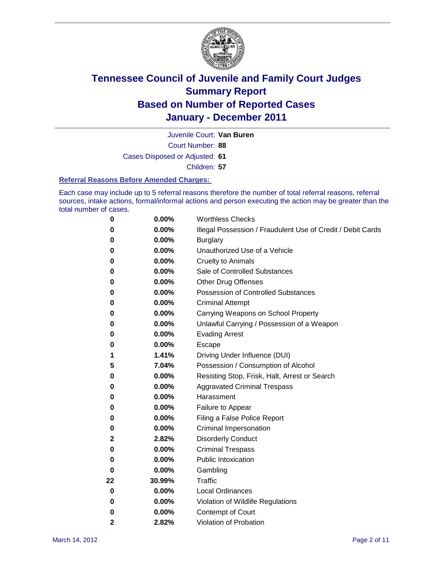

Juvenile Court: **Van Buren**

Court Number: **88**

Cases Disposed or Adjusted: **61**

Children: **57**

#### **Referral Reasons Before Amended Charges:**

Each case may include up to 5 referral reasons therefore the number of total referral reasons, referral sources, intake actions, formal/informal actions and person executing the action may be greater than the total number of cases.

| 0            | 0.00%  | <b>Worthless Checks</b>                                     |
|--------------|--------|-------------------------------------------------------------|
| 0            | 0.00%  | Illegal Possession / Fraudulent Use of Credit / Debit Cards |
| 0            | 0.00%  | <b>Burglary</b>                                             |
| 0            | 0.00%  | Unauthorized Use of a Vehicle                               |
| 0            | 0.00%  | <b>Cruelty to Animals</b>                                   |
| 0            | 0.00%  | Sale of Controlled Substances                               |
| 0            | 0.00%  | <b>Other Drug Offenses</b>                                  |
| 0            | 0.00%  | <b>Possession of Controlled Substances</b>                  |
| 0            | 0.00%  | <b>Criminal Attempt</b>                                     |
| 0            | 0.00%  | Carrying Weapons on School Property                         |
| 0            | 0.00%  | Unlawful Carrying / Possession of a Weapon                  |
| 0            | 0.00%  | <b>Evading Arrest</b>                                       |
| 0            | 0.00%  | Escape                                                      |
| 1            | 1.41%  | Driving Under Influence (DUI)                               |
| 5            | 7.04%  | Possession / Consumption of Alcohol                         |
| 0            | 0.00%  | Resisting Stop, Frisk, Halt, Arrest or Search               |
| 0            | 0.00%  | <b>Aggravated Criminal Trespass</b>                         |
| 0            | 0.00%  | Harassment                                                  |
| 0            | 0.00%  | Failure to Appear                                           |
| 0            | 0.00%  | Filing a False Police Report                                |
| 0            | 0.00%  | Criminal Impersonation                                      |
| 2            | 2.82%  | <b>Disorderly Conduct</b>                                   |
| 0            | 0.00%  | <b>Criminal Trespass</b>                                    |
| 0            | 0.00%  | <b>Public Intoxication</b>                                  |
| 0            | 0.00%  | Gambling                                                    |
| 22           | 30.99% | <b>Traffic</b>                                              |
| 0            | 0.00%  | <b>Local Ordinances</b>                                     |
| 0            | 0.00%  | Violation of Wildlife Regulations                           |
| 0            | 0.00%  | Contempt of Court                                           |
| $\mathbf{2}$ | 2.82%  | Violation of Probation                                      |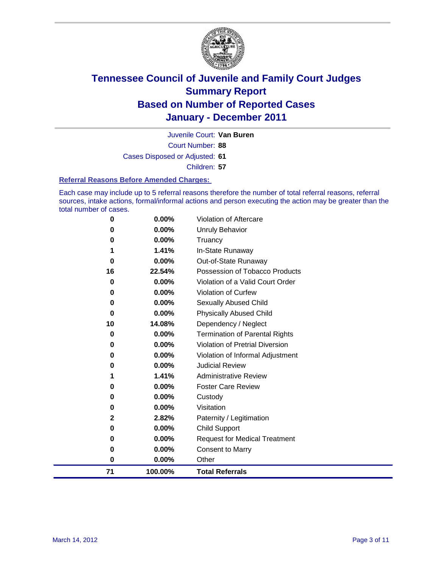

Court Number: **88** Juvenile Court: **Van Buren** Cases Disposed or Adjusted: **61**

Children: **57**

#### **Referral Reasons Before Amended Charges:**

Each case may include up to 5 referral reasons therefore the number of total referral reasons, referral sources, intake actions, formal/informal actions and person executing the action may be greater than the total number of cases.

| 0<br>0<br>$\bf{0}$ | 0.00%<br>0.00%<br>0.00%                                               | <b>Request for Medical Treatment</b><br><b>Consent to Marry</b><br>Other                          |
|--------------------|-----------------------------------------------------------------------|---------------------------------------------------------------------------------------------------|
|                    |                                                                       |                                                                                                   |
|                    |                                                                       |                                                                                                   |
|                    |                                                                       |                                                                                                   |
| 0                  | 0.00%                                                                 | <b>Child Support</b>                                                                              |
| $\mathbf{2}$       | 2.82%                                                                 | Paternity / Legitimation                                                                          |
| 0                  | 0.00%                                                                 | Visitation                                                                                        |
| 0                  | 0.00%                                                                 | Custody                                                                                           |
| 0                  | 0.00%                                                                 | <b>Foster Care Review</b>                                                                         |
| 1                  | 1.41%                                                                 | <b>Administrative Review</b>                                                                      |
| 0                  | $0.00\%$                                                              | <b>Judicial Review</b>                                                                            |
| 0                  | 0.00%                                                                 | Violation of Informal Adjustment                                                                  |
| 0                  | 0.00%                                                                 | <b>Violation of Pretrial Diversion</b>                                                            |
| 0                  | 0.00%                                                                 | Termination of Parental Rights                                                                    |
|                    |                                                                       | Dependency / Neglect                                                                              |
|                    |                                                                       | <b>Physically Abused Child</b>                                                                    |
|                    |                                                                       | <b>Sexually Abused Child</b>                                                                      |
|                    |                                                                       | Violation of Curfew                                                                               |
|                    |                                                                       | Violation of a Valid Court Order                                                                  |
|                    |                                                                       | Possession of Tobacco Products                                                                    |
|                    |                                                                       | In-State Runaway<br>Out-of-State Runaway                                                          |
|                    |                                                                       | Truancy                                                                                           |
|                    |                                                                       | <b>Unruly Behavior</b>                                                                            |
|                    |                                                                       | Violation of Aftercare                                                                            |
|                    | 0<br>0<br>0<br>$\bf{0}$<br>16<br>$\bf{0}$<br>0<br>0<br>$\bf{0}$<br>10 | 0.00%<br>0.00%<br>0.00%<br>1.41%<br>0.00%<br>22.54%<br>0.00%<br>0.00%<br>0.00%<br>0.00%<br>14.08% |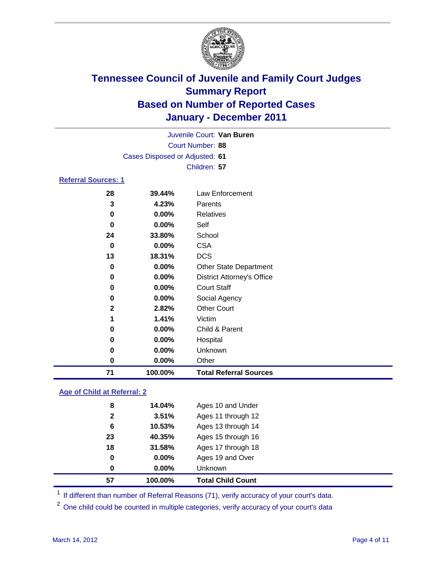

| 71                         | 100.00%                        | <b>Total Referral Sources</b>     |  |
|----------------------------|--------------------------------|-----------------------------------|--|
| 0                          | 0.00%                          | Other                             |  |
| 0                          | 0.00%                          | Unknown                           |  |
| 0                          | 0.00%                          | Hospital                          |  |
| 0                          | 0.00%                          | Child & Parent                    |  |
| 1                          | 1.41%                          | Victim                            |  |
| $\overline{2}$             | 2.82%                          | <b>Other Court</b>                |  |
| 0                          | 0.00%                          | Social Agency                     |  |
| 0                          | 0.00%                          | <b>Court Staff</b>                |  |
| 0                          | 0.00%                          | <b>District Attorney's Office</b> |  |
| 0                          | 0.00%                          | Other State Department            |  |
| 13                         | 18.31%                         | <b>DCS</b>                        |  |
| 0                          | 0.00%                          | <b>CSA</b>                        |  |
| 24                         | 33.80%                         | School                            |  |
| 0                          | 0.00%                          | Self                              |  |
| 0                          | 0.00%                          | Relatives                         |  |
| 3                          | 4.23%                          | Parents                           |  |
| 28                         | 39.44%                         | <b>Law Enforcement</b>            |  |
| <b>Referral Sources: 1</b> |                                |                                   |  |
|                            |                                | Children: 57                      |  |
|                            | Cases Disposed or Adjusted: 61 |                                   |  |
|                            |                                | <b>Court Number: 88</b>           |  |
|                            |                                | Juvenile Court: Van Buren         |  |
|                            |                                |                                   |  |

### **Age of Child at Referral: 2**

| 57           | 100.00% | <b>Total Child Count</b> |
|--------------|---------|--------------------------|
| 0            | 0.00%   | <b>Unknown</b>           |
| 0            | 0.00%   | Ages 19 and Over         |
| 18           | 31.58%  | Ages 17 through 18       |
| 23           | 40.35%  | Ages 15 through 16       |
| 6            | 10.53%  | Ages 13 through 14       |
| $\mathbf{2}$ | 3.51%   | Ages 11 through 12       |
| 8            | 14.04%  | Ages 10 and Under        |
|              |         |                          |

<sup>1</sup> If different than number of Referral Reasons (71), verify accuracy of your court's data.

<sup>2</sup> One child could be counted in multiple categories, verify accuracy of your court's data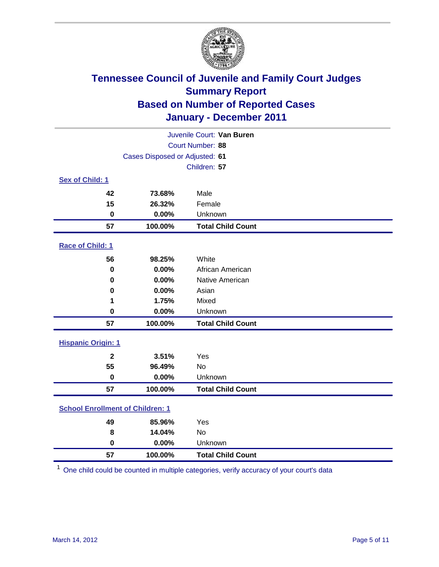

| Juvenile Court: Van Buren               |                                |                          |  |  |  |
|-----------------------------------------|--------------------------------|--------------------------|--|--|--|
| Court Number: 88                        |                                |                          |  |  |  |
|                                         | Cases Disposed or Adjusted: 61 |                          |  |  |  |
|                                         |                                | Children: 57             |  |  |  |
| Sex of Child: 1                         |                                |                          |  |  |  |
| 42                                      | 73.68%                         | Male                     |  |  |  |
| 15                                      | 26.32%                         | Female                   |  |  |  |
| $\mathbf 0$                             | 0.00%                          | Unknown                  |  |  |  |
| 57                                      | 100.00%                        | <b>Total Child Count</b> |  |  |  |
| Race of Child: 1                        |                                |                          |  |  |  |
| 56                                      | 98.25%                         | White                    |  |  |  |
| $\pmb{0}$                               | 0.00%                          | African American         |  |  |  |
| $\mathbf 0$                             | 0.00%                          | Native American          |  |  |  |
| 0                                       | 0.00%                          | Asian                    |  |  |  |
| 1                                       | 1.75%                          | Mixed                    |  |  |  |
| 0                                       | 0.00%                          | Unknown                  |  |  |  |
| 57                                      | 100.00%                        | <b>Total Child Count</b> |  |  |  |
| <b>Hispanic Origin: 1</b>               |                                |                          |  |  |  |
| $\overline{2}$                          | 3.51%                          | Yes                      |  |  |  |
| 55                                      | 96.49%                         | No                       |  |  |  |
| $\mathbf 0$                             | 0.00%                          | Unknown                  |  |  |  |
| 57                                      | 100.00%                        | <b>Total Child Count</b> |  |  |  |
| <b>School Enrollment of Children: 1</b> |                                |                          |  |  |  |
| 49                                      | 85.96%                         | Yes                      |  |  |  |
| 8                                       | 14.04%                         | No                       |  |  |  |
| $\mathbf 0$                             | 0.00%                          | Unknown                  |  |  |  |
| 57                                      | 100.00%                        | <b>Total Child Count</b> |  |  |  |

One child could be counted in multiple categories, verify accuracy of your court's data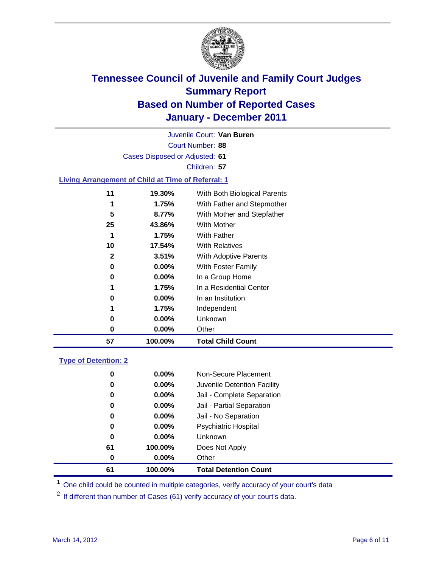

Court Number: **88** Juvenile Court: **Van Buren** Cases Disposed or Adjusted: **61** Children: **57 Living Arrangement of Child at Time of Referral: 1 19.30%** With Both Biological Parents **1.75%** With Father and Stepmother **8.77%** With Mother and Stepfather **43.86%** With Mother **1.75%** With Father **17.54%** With Relatives

| 57 | 100.00%  | <b>Total Child Count</b> |
|----|----------|--------------------------|
| 0  | $0.00\%$ | Other                    |
| 0  | $0.00\%$ | Unknown                  |
| 1  | 1.75%    | Independent              |
| 0  | $0.00\%$ | In an Institution        |
| 1  | 1.75%    | In a Residential Center  |
| 0  | $0.00\%$ | In a Group Home          |
| 0  | $0.00\%$ | With Foster Family       |
| 2  | 3.51%    | With Adoptive Parents    |
| 10 | 17.54%   | <b>With Relatives</b>    |
| 1  | 1.75%    | With Father              |
|    |          |                          |

### **Type of Detention: 2**

| 61 | 100.00%  | <b>Total Detention Count</b> |
|----|----------|------------------------------|
| 0  | 0.00%    | Other                        |
| 61 | 100.00%  | Does Not Apply               |
| 0  | $0.00\%$ | <b>Unknown</b>               |
| 0  | $0.00\%$ | Psychiatric Hospital         |
| 0  | 0.00%    | Jail - No Separation         |
| 0  | $0.00\%$ | Jail - Partial Separation    |
| 0  | 0.00%    | Jail - Complete Separation   |
| 0  | 0.00%    | Juvenile Detention Facility  |
| 0  | $0.00\%$ | Non-Secure Placement         |
|    |          |                              |

<sup>1</sup> One child could be counted in multiple categories, verify accuracy of your court's data

<sup>2</sup> If different than number of Cases (61) verify accuracy of your court's data.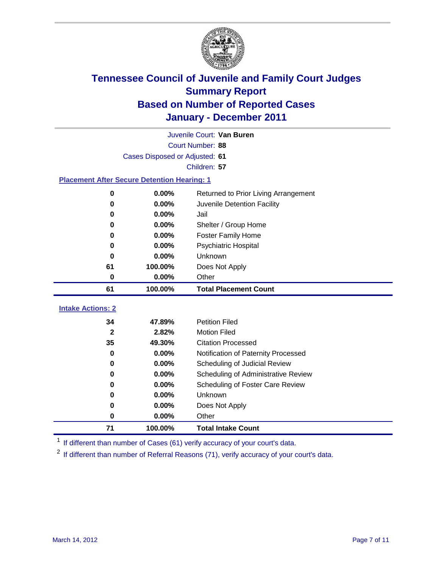

| Juvenile Court: Van Buren                          |                                |                                      |  |  |  |
|----------------------------------------------------|--------------------------------|--------------------------------------|--|--|--|
|                                                    | Court Number: 88               |                                      |  |  |  |
|                                                    | Cases Disposed or Adjusted: 61 |                                      |  |  |  |
|                                                    |                                | Children: 57                         |  |  |  |
| <b>Placement After Secure Detention Hearing: 1</b> |                                |                                      |  |  |  |
| 0                                                  | 0.00%                          | Returned to Prior Living Arrangement |  |  |  |
| $\bf{0}$                                           | 0.00%                          | Juvenile Detention Facility          |  |  |  |
| 0                                                  | 0.00%                          | Jail                                 |  |  |  |
| 0                                                  | 0.00%                          | Shelter / Group Home                 |  |  |  |
| 0                                                  | 0.00%                          | <b>Foster Family Home</b>            |  |  |  |
| $\bf{0}$                                           | 0.00%                          | Psychiatric Hospital                 |  |  |  |
| 0                                                  | 0.00%                          | Unknown                              |  |  |  |
| 61                                                 | 100.00%                        | Does Not Apply                       |  |  |  |
| $\mathbf 0$                                        | 0.00%                          | Other                                |  |  |  |
|                                                    |                                | <b>Total Placement Count</b>         |  |  |  |
| 61                                                 | 100.00%                        |                                      |  |  |  |
| <b>Intake Actions: 2</b>                           |                                |                                      |  |  |  |
| 34                                                 | 47.89%                         | <b>Petition Filed</b>                |  |  |  |
| $\mathbf{2}$                                       | 2.82%                          | <b>Motion Filed</b>                  |  |  |  |
| 35                                                 | 49.30%                         | <b>Citation Processed</b>            |  |  |  |
| 0                                                  | 0.00%                          | Notification of Paternity Processed  |  |  |  |
| $\mathbf 0$                                        | 0.00%                          | Scheduling of Judicial Review        |  |  |  |
| $\bf{0}$                                           | 0.00%                          | Scheduling of Administrative Review  |  |  |  |
| 0                                                  | 0.00%                          | Scheduling of Foster Care Review     |  |  |  |
| 0                                                  | 0.00%                          | Unknown                              |  |  |  |
| 0                                                  | 0.00%                          | Does Not Apply                       |  |  |  |
| $\bf{0}$                                           | 0.00%                          | Other                                |  |  |  |

<sup>1</sup> If different than number of Cases (61) verify accuracy of your court's data.

<sup>2</sup> If different than number of Referral Reasons (71), verify accuracy of your court's data.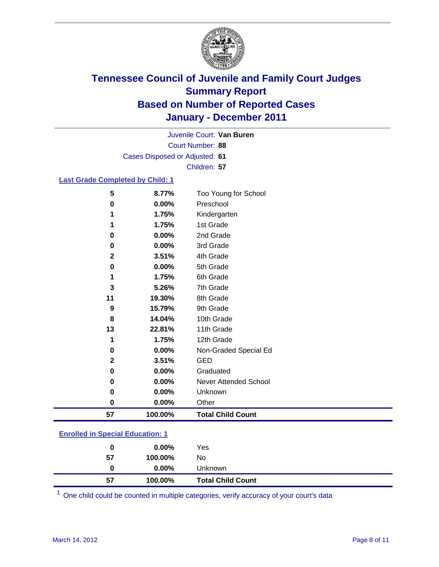

Court Number: **88** Juvenile Court: **Van Buren** Cases Disposed or Adjusted: **61** Children: **57**

### **Last Grade Completed by Child: 1**

| 57           | 100.00% | <b>Total Child Count</b>     |
|--------------|---------|------------------------------|
| 0            | 0.00%   | Other                        |
| 0            | 0.00%   | Unknown                      |
| 0            | 0.00%   | <b>Never Attended School</b> |
| 0            | 0.00%   | Graduated                    |
| $\mathbf{2}$ | 3.51%   | <b>GED</b>                   |
| 0            | 0.00%   | Non-Graded Special Ed        |
| 1            | 1.75%   | 12th Grade                   |
| 13           | 22.81%  | 11th Grade                   |
| 8            | 14.04%  | 10th Grade                   |
| 9            | 15.79%  | 9th Grade                    |
| 11           | 19.30%  | 8th Grade                    |
| 3            | 5.26%   | 7th Grade                    |
| 1            | 1.75%   | 6th Grade                    |
| 0            | 0.00%   | 5th Grade                    |
| $\mathbf{2}$ | 3.51%   | 4th Grade                    |
| 0            | 0.00%   | 3rd Grade                    |
| 0            | 0.00%   | 2nd Grade                    |
| 1            | 1.75%   | 1st Grade                    |
| 1            | 1.75%   | Kindergarten                 |
| 0            | 0.00%   | Preschool                    |
| 5            | 8.77%   | Too Young for School         |

### **Enrolled in Special Education: 1**

| 0  | $0.00\%$ | Yes                      |
|----|----------|--------------------------|
| 57 | 100.00%  | No                       |
|    | $0.00\%$ | <b>Unknown</b>           |
| 57 | 100.00%  | <b>Total Child Count</b> |

One child could be counted in multiple categories, verify accuracy of your court's data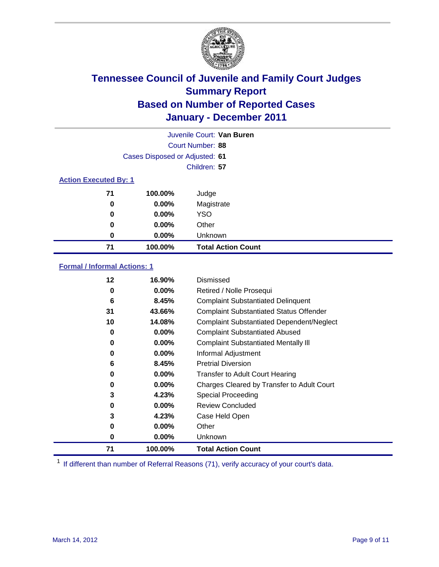

| Juvenile Court: Van Buren |                                |                           |  |  |  |
|---------------------------|--------------------------------|---------------------------|--|--|--|
|                           | Court Number: 88               |                           |  |  |  |
|                           | Cases Disposed or Adjusted: 61 |                           |  |  |  |
|                           | Children: 57                   |                           |  |  |  |
|                           | <b>Action Executed By: 1</b>   |                           |  |  |  |
| 71                        | 100.00%                        | Judge                     |  |  |  |
| $\bf{0}$                  | $0.00\%$                       | Magistrate                |  |  |  |
| $\bf{0}$                  | $0.00\%$                       | <b>YSO</b>                |  |  |  |
| 0                         | $0.00\%$                       | Other                     |  |  |  |
| 0                         | 0.00%                          | Unknown                   |  |  |  |
| 71                        | 100.00%                        | <b>Total Action Count</b> |  |  |  |

### **Formal / Informal Actions: 1**

| 12 | 16.90%   | Dismissed                                        |
|----|----------|--------------------------------------------------|
| 0  | $0.00\%$ | Retired / Nolle Prosequi                         |
| 6  | 8.45%    | <b>Complaint Substantiated Delinquent</b>        |
| 31 | 43.66%   | <b>Complaint Substantiated Status Offender</b>   |
| 10 | 14.08%   | <b>Complaint Substantiated Dependent/Neglect</b> |
| 0  | 0.00%    | <b>Complaint Substantiated Abused</b>            |
| 0  | $0.00\%$ | <b>Complaint Substantiated Mentally III</b>      |
| 0  | $0.00\%$ | Informal Adjustment                              |
| 6  | 8.45%    | <b>Pretrial Diversion</b>                        |
| 0  | 0.00%    | <b>Transfer to Adult Court Hearing</b>           |
| 0  | $0.00\%$ | Charges Cleared by Transfer to Adult Court       |
| 3  | 4.23%    | Special Proceeding                               |
| 0  | $0.00\%$ | <b>Review Concluded</b>                          |
| 3  | 4.23%    | Case Held Open                                   |
| 0  | $0.00\%$ | Other                                            |
| 0  | $0.00\%$ | Unknown                                          |
| 71 | 100.00%  | <b>Total Action Count</b>                        |

<sup>1</sup> If different than number of Referral Reasons (71), verify accuracy of your court's data.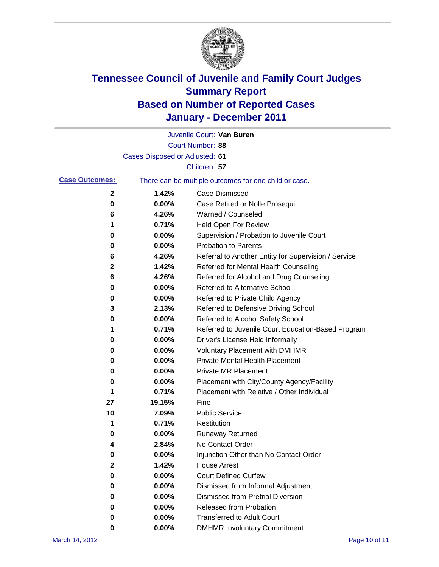

|                       |                                | Juvenile Court: Van Buren                             |
|-----------------------|--------------------------------|-------------------------------------------------------|
|                       |                                | <b>Court Number: 88</b>                               |
|                       | Cases Disposed or Adjusted: 61 |                                                       |
|                       |                                | Children: 57                                          |
| <b>Case Outcomes:</b> |                                | There can be multiple outcomes for one child or case. |
| 2                     | 1.42%                          | <b>Case Dismissed</b>                                 |
| 0                     | 0.00%                          | Case Retired or Nolle Prosequi                        |
| 6                     | 4.26%                          | Warned / Counseled                                    |
| 1                     | 0.71%                          | Held Open For Review                                  |
| 0                     | 0.00%                          | Supervision / Probation to Juvenile Court             |
| 0                     | 0.00%                          | <b>Probation to Parents</b>                           |
| 6                     | 4.26%                          | Referral to Another Entity for Supervision / Service  |
| 2                     | 1.42%                          | Referred for Mental Health Counseling                 |
| 6                     | 4.26%                          | Referred for Alcohol and Drug Counseling              |
| 0                     | 0.00%                          | Referred to Alternative School                        |
| 0                     | 0.00%                          | Referred to Private Child Agency                      |
| 3                     | 2.13%                          | Referred to Defensive Driving School                  |
| 0                     | 0.00%                          | Referred to Alcohol Safety School                     |
| 1                     | 0.71%                          | Referred to Juvenile Court Education-Based Program    |
| 0                     | 0.00%                          | Driver's License Held Informally                      |
| 0                     | 0.00%                          | <b>Voluntary Placement with DMHMR</b>                 |
| 0                     | 0.00%                          | <b>Private Mental Health Placement</b>                |
| 0                     | 0.00%                          | <b>Private MR Placement</b>                           |
| 0                     | 0.00%                          | Placement with City/County Agency/Facility            |
| 1                     | 0.71%                          | Placement with Relative / Other Individual            |
| 27                    | 19.15%                         | Fine                                                  |
| 10                    | 7.09%                          | <b>Public Service</b>                                 |
| 1                     | 0.71%                          | Restitution                                           |
| 0                     | 0.00%                          | <b>Runaway Returned</b>                               |
| 4                     | 2.84%                          | No Contact Order                                      |
| 0                     | 0.00%                          | Injunction Other than No Contact Order                |
| 2                     | 1.42%                          | <b>House Arrest</b>                                   |
| 0                     | 0.00%                          | <b>Court Defined Curfew</b>                           |
| 0                     | 0.00%                          | Dismissed from Informal Adjustment                    |
| 0                     | 0.00%                          | <b>Dismissed from Pretrial Diversion</b>              |
| 0                     | 0.00%                          | Released from Probation                               |
| 0                     | 0.00%                          | <b>Transferred to Adult Court</b>                     |
| 0                     | 0.00%                          | <b>DMHMR Involuntary Commitment</b>                   |